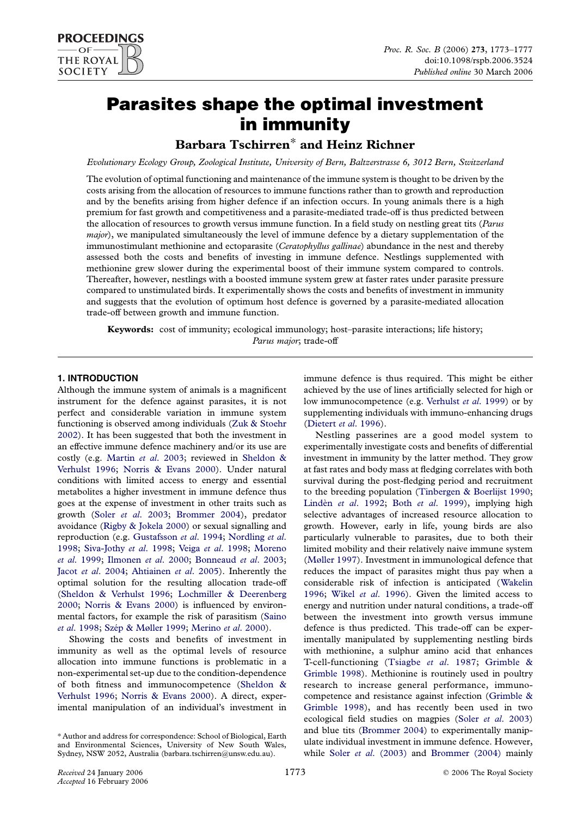

# Parasites shape the optimal investment in immunity

# Barbara Tschirren\* and Heinz Richner

Evolutionary Ecology Group, Zoological Institute, University of Bern, Baltzerstrasse 6, 3012 Bern, Switzerland

The evolution of optimal functioning and maintenance of the immune system is thought to be driven by the costs arising from the allocation of resources to immune functions rather than to growth and reproduction and by the benefits arising from higher defence if an infection occurs. In young animals there is a high premium for fast growth and competitiveness and a parasite-mediated trade-off is thus predicted between the allocation of resources to growth versus immune function. In a field study on nestling great tits (Parus *major*), we manipulated simultaneously the level of immune defence by a dietary supplementation of the immunostimulant methionine and ectoparasite (Ceratophyllus gallinae) abundance in the nest and thereby assessed both the costs and benefits of investing in immune defence. Nestlings supplemented with methionine grew slower during the experimental boost of their immune system compared to controls. Thereafter, however, nestlings with a boosted immune system grew at faster rates under parasite pressure compared to unstimulated birds. It experimentally shows the costs and benefits of investment in immunity and suggests that the evolution of optimum host defence is governed by a parasite-mediated allocation trade-off between growth and immune function.

Keywords: cost of immunity; ecological immunology; host–parasite interactions; life history; Parus major; trade-off

# 1. INTRODUCTION

Although the immune system of animals is a magnificent instrument for the defence against parasites, it is not perfect and considerable variation in immune system functioning is observed among individuals [\(Zuk & Stoehr](#page-4-0) [2002](#page-4-0)). It has been suggested that both the investment in an effective immune defence machinery and/or its use are costly (e.g. [Martin](#page-4-0) et al. 2003; reviewed in [Sheldon &](#page-4-0) [Verhulst 1996](#page-4-0); [Norris & Evans 2000](#page-4-0)). Under natural conditions with limited access to energy and essential metabolites a higher investment in immune defence thus goes at the expense of investment in other traits such as growth (Soler et al[. 2003](#page-4-0); [Brommer 2004](#page-3-0)), predator avoidance ([Rigby & Jokela 2000\)](#page-4-0) or sexual signalling and reproduction (e.g. [Gustafsson](#page-3-0) et al. 1994; [Nordling](#page-4-0) et al. [1998](#page-4-0); [Siva-Jothy](#page-4-0) et al. 1998; Veiga et al[. 1998](#page-4-0); [Moreno](#page-4-0) et al[. 1999](#page-4-0); [Ilmonen](#page-3-0) et al. 2000; [Bonneaud](#page-3-0) et al. 2003; Jacot et al[. 2004](#page-3-0); [Ahtiainen](#page-3-0) et al. 2005). Inherently the optimal solution for the resulting allocation trade-off ([Sheldon & Verhulst 1996](#page-4-0); [Lochmiller & Deerenberg](#page-4-0) [2000](#page-4-0); [Norris & Evans 2000](#page-4-0)) is influenced by environmental factors, for example the risk of parasitism [\(Saino](#page-4-0) et al[. 1998](#page-4-0); Szép & Møller 1999; [Merino](#page-4-0) et al. 2000).

Showing the costs and benefits of investment in immunity as well as the optimal levels of resource allocation into immune functions is problematic in a non-experimental set-up due to the condition-dependence of both fitness and immunocompetence ([Sheldon &](#page-4-0) [Verhulst 1996](#page-4-0); [Norris & Evans 2000](#page-4-0)). A direct, experimental manipulation of an individual's investment in

\* Author and address for correspondence: School of Biological, Earth and Environmental Sciences, University of New South Wales, Sydney, NSW 2052, Australia (barbara.tschirren@unsw.edu.au).

immune defence is thus required. This might be either achieved by the use of lines artificially selected for high or low immunocompetence (e.g. [Verhulst](#page-4-0) et al. 1999) or by supplementing individuals with immuno-enhancing drugs ([Dietert](#page-3-0) et al. 1996).

Nestling passerines are a good model system to experimentally investigate costs and benefits of differential investment in immunity by the latter method. They grow at fast rates and body mass at fledging correlates with both survival during the post-fledging period and recruitment to the breeding population ([Tinbergen & Boerlijst 1990;](#page-4-0) Lindèn et al. 1992; Both et al[. 1999](#page-3-0)), implying high selective advantages of increased resource allocation to growth. However, early in life, young birds are also particularly vulnerable to parasites, due to both their limited mobility and their relatively naive immune system ([Møller 1997](#page-4-0)). Investment in immunological defence that reduces the impact of parasites might thus pay when a considerable risk of infection is anticipated ([Wakelin](#page-4-0) [1996](#page-4-0); Wikel et al[. 1996\)](#page-4-0). Given the limited access to energy and nutrition under natural conditions, a trade-off between the investment into growth versus immune defence is thus predicted. This trade-off can be experimentally manipulated by supplementing nestling birds with methionine, a sulphur amino acid that enhances T-cell-functioning ([Tsiagbe](#page-4-0) et al. 1987; [Grimble &](#page-3-0) [Grimble 1998\)](#page-3-0). Methionine is routinely used in poultry research to increase general performance, immunocompetence and resistance against infection [\(Grimble &](#page-3-0) [Grimble 1998\)](#page-3-0), and has recently been used in two ecological field studies on magpies (Soler et al[. 2003\)](#page-4-0) and blue tits [\(Brommer 2004](#page-3-0)) to experimentally manipulate individual investment in immune defence. However, while Soler et al[. \(2003\)](#page-4-0) and [Brommer \(2004\)](#page-3-0) mainly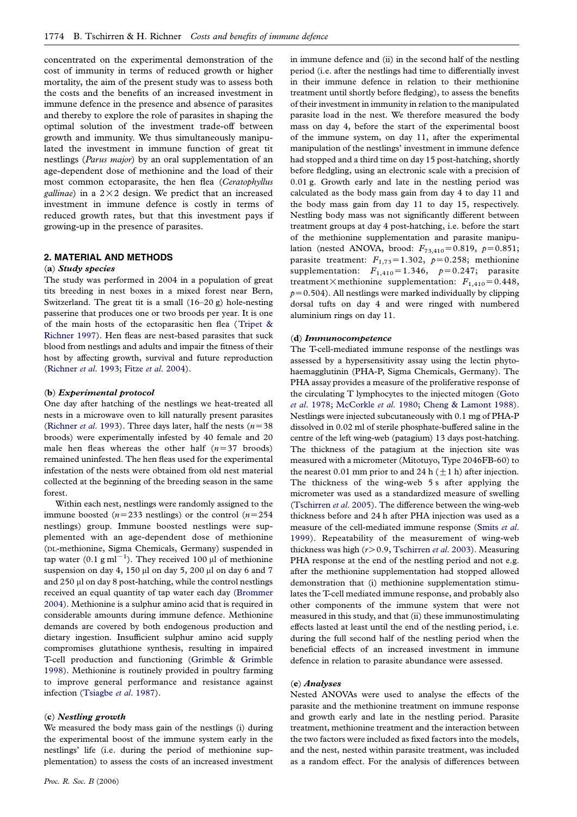concentrated on the experimental demonstration of the cost of immunity in terms of reduced growth or higher mortality, the aim of the present study was to assess both the costs and the benefits of an increased investment in immune defence in the presence and absence of parasites and thereby to explore the role of parasites in shaping the optimal solution of the investment trade-off between growth and immunity. We thus simultaneously manipulated the investment in immune function of great tit nestlings (Parus major) by an oral supplementation of an age-dependent dose of methionine and the load of their most common ectoparasite, the hen flea (Ceratophyllus *gallinae*) in a  $2 \times 2$  design. We predict that an increased investment in immune defence is costly in terms of reduced growth rates, but that this investment pays if growing-up in the presence of parasites.

## 2. MATERIAL AND METHODS

#### (a) Study species

The study was performed in 2004 in a population of great tits breeding in nest boxes in a mixed forest near Bern, Switzerland. The great tit is a small  $(16-20 g)$  hole-nesting passerine that produces one or two broods per year. It is one of the main hosts of the ectoparasitic hen flea ([Tripet &](#page-4-0) [Richner 1997](#page-4-0)). Hen fleas are nest-based parasites that suck blood from nestlings and adults and impair the fitness of their host by affecting growth, survival and future reproduction ([Richner](#page-4-0) et al. 1993; Fitze et al[. 2004](#page-3-0)).

#### (b) Experimental protocol

One day after hatching of the nestlings we heat-treated all nests in a microwave oven to kill naturally present parasites ([Richner](#page-4-0) et al. 1993). Three days later, half the nests ( $n=38$ broods) were experimentally infested by 40 female and 20 male hen fleas whereas the other half  $(n=37 \text{ broods})$ remained uninfested. The hen fleas used for the experimental infestation of the nests were obtained from old nest material collected at the beginning of the breeding season in the same forest.

Within each nest, nestlings were randomly assigned to the immune boosted ( $n=233$  nestlings) or the control ( $n=254$ nestlings) group. Immune boosted nestlings were supplemented with an age-dependent dose of methionine (DL-methionine, Sigma Chemicals, Germany) suspended in tap water (0.1  $g$  ml<sup>-1</sup>). They received 100  $\mu$ l of methionine suspension on day 4, 150  $\mu$ l on day 5, 200  $\mu$ l on day 6 and 7 and 250 µl on day 8 post-hatching, while the control nestlings received an equal quantity of tap water each day ([Brommer](#page-3-0) [2004](#page-3-0)). Methionine is a sulphur amino acid that is required in considerable amounts during immune defence. Methionine demands are covered by both endogenous production and dietary ingestion. Insufficient sulphur amino acid supply compromises glutathione synthesis, resulting in impaired T-cell production and functioning [\(Grimble & Grimble](#page-3-0) [1998](#page-3-0)). Methionine is routinely provided in poultry farming to improve general performance and resistance against infection ([Tsiagbe](#page-4-0) et al. 1987).

#### (c) Nestling growth

We measured the body mass gain of the nestlings (i) during the experimental boost of the immune system early in the nestlings' life (i.e. during the period of methionine supplementation) to assess the costs of an increased investment in immune defence and (ii) in the second half of the nestling period (i.e. after the nestlings had time to differentially invest in their immune defence in relation to their methionine treatment until shortly before fledging), to assess the benefits of their investment in immunity in relation to the manipulated parasite load in the nest. We therefore measured the body mass on day 4, before the start of the experimental boost of the immune system, on day 11, after the experimental manipulation of the nestlings' investment in immune defence had stopped and a third time on day 15 post-hatching, shortly before fledgling, using an electronic scale with a precision of 0.01 g. Growth early and late in the nestling period was calculated as the body mass gain from day 4 to day 11 and the body mass gain from day 11 to day 15, respectively. Nestling body mass was not significantly different between treatment groups at day 4 post-hatching, i.e. before the start of the methionine supplementation and parasite manipulation (nested ANOVA, brood:  $F_{73,410} = 0.819$ ,  $p = 0.851$ ; parasite treatment:  $F_{1,73} = 1.302$ ,  $p=0.258$ ; methionine supplementation:  $F_{1,410} = 1.346$ ,  $p = 0.247$ ; parasite treatment  $\times$  methionine supplementation:  $F_{1,410} = 0.448$ ,  $p=0.504$ ). All nestlings were marked individually by clipping dorsal tufts on day 4 and were ringed with numbered aluminium rings on day 11.

#### (d) Immunocompetence

The T-cell-mediated immune response of the nestlings was assessed by a hypersensitivity assay using the lectin phytohaemagglutinin (PHA-P, Sigma Chemicals, Germany). The PHA assay provides a measure of the proliferative response of the circulating T lymphocytes to the injected mitogen [\(Goto](#page-3-0) et al[. 1978;](#page-3-0) [McCorkle](#page-4-0) et al. 1980; [Cheng & Lamont 1988](#page-3-0)). Nestlings were injected subcutaneously with 0.1 mg of PHA-P dissolved in 0.02 ml of sterile phosphate-buffered saline in the centre of the left wing-web (patagium) 13 days post-hatching. The thickness of the patagium at the injection site was measured with a micrometer (Mitotuyo, Type 2046FB-60) to the nearest 0.01 mm prior to and 24 h  $(\pm 1$  h) after injection. The thickness of the wing-web 5 s after applying the micrometer was used as a standardized measure of swelling ([Tschirren](#page-4-0) et al. 2005). The difference between the wing-web thickness before and 24 h after PHA injection was used as a measure of the cell-mediated immune response [\(Smits](#page-4-0) et al. [1999\)](#page-4-0). Repeatability of the measurement of wing-web thickness was high ( $r > 0.9$ , [Tschirren](#page-4-0) et al. 2003). Measuring PHA response at the end of the nestling period and not e.g. after the methionine supplementation had stopped allowed demonstration that (i) methionine supplementation stimulates the T-cell mediated immune response, and probably also other components of the immune system that were not measured in this study, and that (ii) these immunostimulating effects lasted at least until the end of the nestling period, i.e. during the full second half of the nestling period when the beneficial effects of an increased investment in immune defence in relation to parasite abundance were assessed.

### (e) Analyses

Nested ANOVAs were used to analyse the effects of the parasite and the methionine treatment on immune response and growth early and late in the nestling period. Parasite treatment, methionine treatment and the interaction between the two factors were included as fixed factors into the models, and the nest, nested within parasite treatment, was included as a random effect. For the analysis of differences between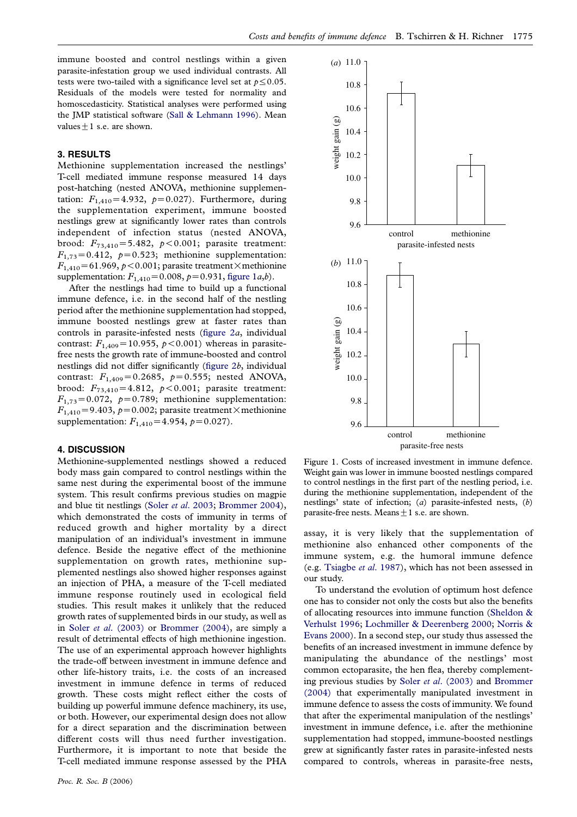immune boosted and control nestlings within a given parasite-infestation group we used individual contrasts. All tests were two-tailed with a significance level set at  $p < 0.05$ . Residuals of the models were tested for normality and homoscedasticity. Statistical analyses were performed using the JMP statistical software ([Sall & Lehmann 1996](#page-4-0)). Mean values  $\pm 1$  s.e. are shown.

# 3. RESULTS

Methionine supplementation increased the nestlings' T-cell mediated immune response measured 14 days post-hatching (nested ANOVA, methionine supplementation:  $F_{1,410}$ =4.932,  $p=0.027$ ). Furthermore, during the supplementation experiment, immune boosted nestlings grew at significantly lower rates than controls independent of infection status (nested ANOVA, brood:  $F_{73,410} = 5.482$ ,  $p < 0.001$ ; parasite treatment:  $F_{1,73}=0.412$ ,  $p=0.523$ ; methionine supplementation:  $F_{1,410}$ =61.969, p<0.001; parasite treatment  $\times$  methionine supplementation:  $F_{1,410} = 0.008$ ,  $p = 0.931$ , figure 1a,b).

After the nestlings had time to build up a functional immune defence, i.e. in the second half of the nestling period after the methionine supplementation had stopped, immune boosted nestlings grew at faster rates than controls in parasite-infested nests [\(figure 2](#page-3-0)a, individual contrast:  $F_{1,409} = 10.955$ ,  $p < 0.001$ ) whereas in parasitefree nests the growth rate of immune-boosted and control nestlings did not differ significantly [\(figure 2](#page-3-0)b, individual contrast:  $F_{1,409} = 0.2685$ ,  $p = 0.555$ ; nested ANOVA, brood:  $F_{73,410} = 4.812$ ,  $p < 0.001$ ; parasite treatment:  $F_{1,73}=0.072$ ,  $p=0.789$ ; methionine supplementation:  $F_{1,410}$ =9.403, p=0.002; parasite treatment  $\times$  methionine supplementation:  $F_{1,410} = 4.954$ ,  $p = 0.027$ .

# 4. DISCUSSION

Methionine-supplemented nestlings showed a reduced body mass gain compared to control nestlings within the same nest during the experimental boost of the immune system. This result confirms previous studies on magpie and blue tit nestlings (Soler et al[. 2003;](#page-4-0) [Brommer 2004\)](#page-3-0), which demonstrated the costs of immunity in terms of reduced growth and higher mortality by a direct manipulation of an individual's investment in immune defence. Beside the negative effect of the methionine supplementation on growth rates, methionine supplemented nestlings also showed higher responses against an injection of PHA, a measure of the T-cell mediated immune response routinely used in ecological field studies. This result makes it unlikely that the reduced growth rates of supplemented birds in our study, as well as in Soler et al[. \(2003\)](#page-4-0) or [Brommer \(2004\),](#page-3-0) are simply a result of detrimental effects of high methionine ingestion. The use of an experimental approach however highlights the trade-off between investment in immune defence and other life-history traits, i.e. the costs of an increased investment in immune defence in terms of reduced growth. These costs might reflect either the costs of building up powerful immune defence machinery, its use, or both. However, our experimental design does not allow for a direct separation and the discrimination between different costs will thus need further investigation. Furthermore, it is important to note that beside the T-cell mediated immune response assessed by the PHA



Figure 1. Costs of increased investment in immune defence. Weight gain was lower in immune boosted nestlings compared to control nestlings in the first part of the nestling period, i.e. during the methionine supplementation, independent of the nestlings' state of infection; (a) parasite-infested nests, (b) parasite-free nests. Means  $\pm 1$  s.e. are shown.

assay, it is very likely that the supplementation of methionine also enhanced other components of the immune system, e.g. the humoral immune defence (e.g. [Tsiagbe](#page-4-0) et al. 1987), which has not been assessed in our study.

To understand the evolution of optimum host defence one has to consider not only the costs but also the benefits of allocating resources into immune function ([Sheldon &](#page-4-0) [Verhulst 1996](#page-4-0); [Lochmiller & Deerenberg 2000](#page-4-0); [Norris &](#page-4-0) [Evans 2000\)](#page-4-0). In a second step, our study thus assessed the benefits of an increased investment in immune defence by manipulating the abundance of the nestlings' most common ectoparasite, the hen flea, thereby complementing previous studies by Soler et al[. \(2003\)](#page-4-0) and [Brommer](#page-3-0) [\(2004\)](#page-3-0) that experimentally manipulated investment in immune defence to assess the costs of immunity. We found that after the experimental manipulation of the nestlings' investment in immune defence, i.e. after the methionine supplementation had stopped, immune-boosted nestlings grew at significantly faster rates in parasite-infested nests compared to controls, whereas in parasite-free nests,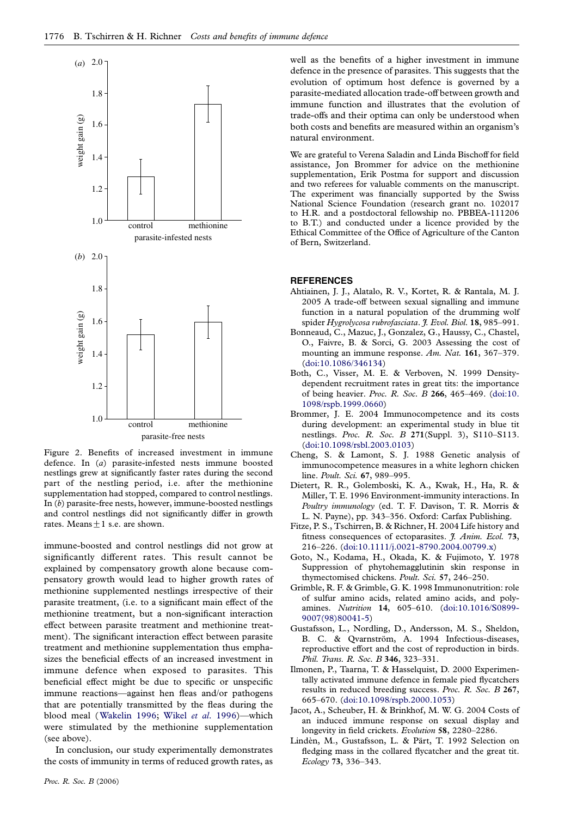<span id="page-3-0"></span>

Figure 2. Benefits of increased investment in immune defence. In (a) parasite-infested nests immune boosted nestlings grew at significantly faster rates during the second part of the nestling period, i.e. after the methionine supplementation had stopped, compared to control nestlings. In (b) parasite-free nests, however, immune-boosted nestlings and control nestlings did not significantly differ in growth rates. Means  $\pm 1$  s.e. are shown.

immune-boosted and control nestlings did not grow at significantly different rates. This result cannot be explained by compensatory growth alone because compensatory growth would lead to higher growth rates of methionine supplemented nestlings irrespective of their parasite treatment, (i.e. to a significant main effect of the methionine treatment, but a non-significant interaction effect between parasite treatment and methionine treatment). The significant interaction effect between parasite treatment and methionine supplementation thus emphasizes the beneficial effects of an increased investment in immune defence when exposed to parasites. This beneficial effect might be due to specific or unspecific immune reactions—against hen fleas and/or pathogens that are potentially transmitted by the fleas during the blood meal ([Wakelin 1996](#page-4-0); Wikel et al[. 1996\)](#page-4-0)—which were stimulated by the methionine supplementation (see above).

In conclusion, our study experimentally demonstrates the costs of immunity in terms of reduced growth rates, as

well as the benefits of a higher investment in immune defence in the presence of parasites. This suggests that the evolution of optimum host defence is governed by a parasite-mediated allocation trade-off between growth and immune function and illustrates that the evolution of trade-offs and their optima can only be understood when both costs and benefits are measured within an organism's natural environment.

We are grateful to Verena Saladin and Linda Bischoff for field assistance, Jon Brommer for advice on the methionine supplementation, Erik Postma for support and discussion and two referees for valuable comments on the manuscript. The experiment was financially supported by the Swiss National Science Foundation (research grant no. 102017 to H.R. and a postdoctoral fellowship no. PBBEA-111206 to B.T.) and conducted under a licence provided by the Ethical Committee of the Office of Agriculture of the Canton of Bern, Switzerland.

#### **REFERENCES**

- Ahtiainen, J. J., Alatalo, R. V., Kortet, R. & Rantala, M. J. 2005 A trade-off between sexual signalling and immune function in a natural population of the drumming wolf spider Hygrolycosa rubrofasciata. J. Evol. Biol. 18, 985-991.
- Bonneaud, C., Mazuc, J., Gonzalez, G., Haussy, C., Chastel, O., Faivre, B. & Sorci, G. 2003 Assessing the cost of mounting an immune response. Am. Nat. 161, 367-379. ([doi:10.1086/346134](http://dx.doi.org/doi:10.1086/346134))
- Both, C., Visser, M. E. & Verboven, N. 1999 Densitydependent recruitment rates in great tits: the importance of being heavier. Proc. R. Soc. B 266, 465–469. ([doi:10.](http://dx.doi.org/doi:10.1098/rspb.1999.0660) [1098/rspb.1999.0660](http://dx.doi.org/doi:10.1098/rspb.1999.0660))
- Brommer, J. E. 2004 Immunocompetence and its costs during development: an experimental study in blue tit nestlings. Proc. R. Soc. B 271(Suppl. 3), S110–S113. ([doi:10.1098/rsbl.2003.0103\)](http://dx.doi.org/doi:10.1098/rsbl.2003.0103)
- Cheng, S. & Lamont, S. J. 1988 Genetic analysis of immunocompetence measures in a white leghorn chicken line. Poult. Sci. 67, 989–995.
- Dietert, R. R., Golemboski, K. A., Kwak, H., Ha, R. & Miller, T. E. 1996 Environment-immunity interactions. In Poultry immunology (ed. T. F. Davison, T. R. Morris & L. N. Payne), pp. 343–356. Oxford: Carfax Publishing.
- Fitze, P. S., Tschirren, B. & Richner, H. 2004 Life history and fitness consequences of ectoparasites. *J. Anim. Ecol.* 73, 216–226. [\(doi:10.1111/j.0021-8790.2004.00799.x\)](http://dx.doi.org/doi:10.1111/j.0021-8790.2004.00799.x)
- Goto, N., Kodama, H., Okada, K. & Fujimoto, Y. 1978 Suppression of phytohemagglutinin skin response in thymectomised chickens. Poult. Sci. 57, 246–250.
- Grimble, R. F. & Grimble, G. K. 1998 Immunonutrition: role of sulfur amino acids, related amino acids, and polyamines. Nutrition 14, 605–610. [\(doi:10.1016/S0899-](http://dx.doi.org/doi:10.1016/S0899-9007(98)80041-5) [9007\(98\)80041-5\)](http://dx.doi.org/doi:10.1016/S0899-9007(98)80041-5)
- Gustafsson, L., Nordling, D., Andersson, M. S., Sheldon, B. C. & Qvarnström, A. 1994 Infectious-diseases, reproductive effort and the cost of reproduction in birds. Phil. Trans. R. Soc. B 346, 323–331.
- Ilmonen, P., Taarna, T. & Hasselquist, D. 2000 Experimentally activated immune defence in female pied flycatchers results in reduced breeding success. Proc. R. Soc. B 267, 665–670. [\(doi:10.1098/rspb.2000.1053\)](http://dx.doi.org/doi:10.1098/rspb.2000.1053)
- Jacot, A., Scheuber, H. & Brinkhof, M. W. G. 2004 Costs of an induced immune response on sexual display and longevity in field crickets. Evolution 58, 2280-2286.
- Lindèn, M., Gustafsson, L. & Pärt, T. 1992 Selection on fledging mass in the collared flycatcher and the great tit. Ecology 73, 336–343.